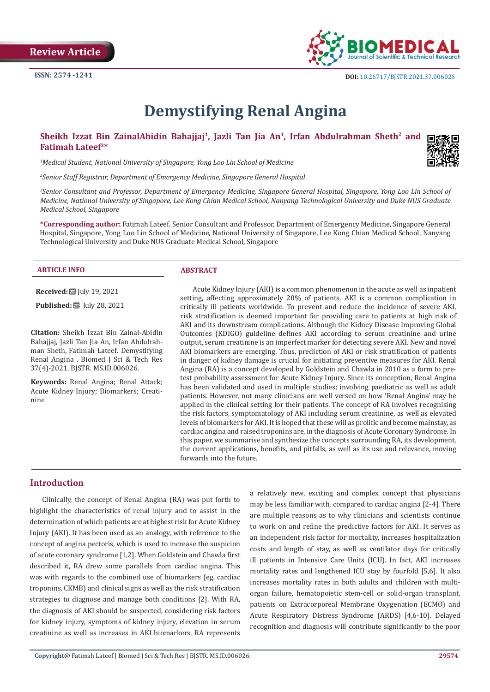

 $\overline{a}$ 

# **Demystifying Renal Angina**

# Sheikh Izzat Bin ZainalAbidin Bahajjaj<sup>1</sup>, Jazli Tan Jia An<sup>1</sup>, Irfan Abdulrahman Sheth<sup>2</sup> and **Fatimah Lateef3\***

*1 Medical Student, National University of Singapore, Yong Loo Lin School of Medicine*

*2 Senior Staff Registrar, Department of Emergency Medicine, Singapore General Hospital*

*3 Senior Consultant and Professor, Department of Emergency Medicine, Singapore General Hospital, Singapore, Yong Loo Lin School of Medicine, National University of Singapore, Lee Kong Chian Medical School, Nanyang Technological University and Duke NUS Graduate Medical School, Singapore*

**\*Corresponding author:** Fatimah Lateef, Senior Consultant and Professor, Department of Emergency Medicine, Singapore General Hospital, Singapore, Yong Loo Lin School of Medicine, National University of Singapore, Lee Kong Chian Medical School, Nanyang Technological University and Duke NUS Graduate Medical School, Singapore

#### **ARTICLE INFO ABSTRACT**

**Received:** July 19, 2021

**Published:** ■ July 28, 2021

**Citation:** Sheikh Izzat Bin Zainal-Abidin Bahajjaj, Jazli Tan Jia An, Irfan Abdulrahman Sheth, Fatimah Lateef. Demystifying Renal Angina . Biomed J Sci & Tech Res 37(4)-2021. BJSTR. MS.ID.006026.

**Keywords:** Renal Angina; Renal Attack; Acute Kidney Injury; Biomarkers; Creatinine

Acute Kidney Injury (AKI) is a common phenomenon in the acute as well as inpatient setting, affecting approximately 20% of patients. AKI is a common complication in critically ill patients worldwide. To prevent and reduce the incidence of severe AKI, risk stratification is deemed important for providing care to patients at high risk of AKI and its downstream complications. Although the Kidney Disease Improving Global Outcomes (KDIGO) guideline defines AKI according to serum creatinine and urine output, serum creatinine is an imperfect marker for detecting severe AKI. New and novel AKI biomarkers are emerging. Thus, prediction of AKI or risk stratification of patients in danger of kidney damage is crucial for initiating preventive measures for AKI. Renal Angina (RA) is a concept developed by Goldstein and Chawla in 2010 as a form to pretest probability assessment for Acute Kidney Injury. Since its conception, Renal Angina has been validated and used in multiple studies; involving paediatric as well as adult patients. However, not many clinicians are well versed on how 'Renal Angina' may be applied in the clinical setting for their patients. The concept of RA involves recognising the risk factors, symptomatology of AKI including serum creatinine, as well as elevated levels of biomarkers for AKI. It is hoped that these will as prolific and become mainstay, as cardiac angina and raised troponins are, in the diagnosis of Acute Coronary Syndrome. In this paper, we summarise and synthesize the concepts surrounding RA, its development, the current applications, benefits, and pitfalls, as well as its use and relevance, moving forwards into the future.

# **Introduction**

Clinically, the concept of Renal Angina (RA) was put forth to highlight the characteristics of renal injury and to assist in the determination of which patients are at highest risk for Acute Kidney Injury (AKI). It has been used as an analogy, with reference to the concept of angina pectoris, which is used to increase the suspicion of acute coronary syndrome [1,2]. When Goldstein and Chawla first described it, RA drew some parallels from cardiac angina. This was with regards to the combined use of biomarkers (eg. cardiac troponins, CKMB) and clinical signs as well as the risk stratification strategies to diagnose and manage both conditions [2]. With RA, the diagnosis of AKI should be suspected, considering risk factors for kidney injury, symptoms of kidney injury, elevation in serum creatinine as well as increases in AKI biomarkers. RA represents a relatively new, exciting and complex concept that physicians may be less familiar with, compared to cardiac angina [2-4]. There are multiple reasons as to why clinicians and scientists continue to work on and refine the predictive factors for AKI. It serves as an independent risk factor for mortality, increases hospitalization costs and length of stay, as well as ventilator days for critically ill patients in Intensive Care Units (ICU). In fact, AKI increases mortality rates and lengthened ICU stay by fourfold [5,6]. It also increases mortality rates in both adults and children with multiorgan failure, hematopoietic stem-cell or solid-organ transplant, patients on Extracorporeal Membrane Oxygenation (ECMO) and Acute Respiratory Distress Syndrome (ARDS) [4,6-10]. Delayed recognition and diagnosis will contribute significantly to the poor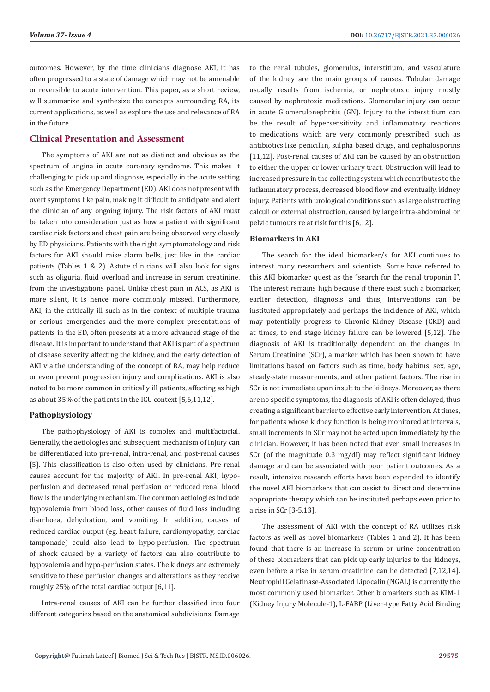outcomes. However, by the time clinicians diagnose AKI, it has often progressed to a state of damage which may not be amenable or reversible to acute intervention. This paper, as a short review, will summarize and synthesize the concepts surrounding RA, its current applications, as well as explore the use and relevance of RA in the future.

## **Clinical Presentation and Assessment**

The symptoms of AKI are not as distinct and obvious as the spectrum of angina in acute coronary syndrome. This makes it challenging to pick up and diagnose, especially in the acute setting such as the Emergency Department (ED). AKI does not present with overt symptoms like pain, making it difficult to anticipate and alert the clinician of any ongoing injury. The risk factors of AKI must be taken into consideration just as how a patient with significant cardiac risk factors and chest pain are being observed very closely by ED physicians. Patients with the right symptomatology and risk factors for AKI should raise alarm bells, just like in the cardiac patients (Tables 1 & 2). Astute clinicians will also look for signs such as oliguria, fluid overload and increase in serum creatinine, from the investigations panel. Unlike chest pain in ACS, as AKI is more silent, it is hence more commonly missed. Furthermore, AKI, in the critically ill such as in the context of multiple trauma or serious emergencies and the more complex presentations of patients in the ED, often presents at a more advanced stage of the disease. It is important to understand that AKI is part of a spectrum of disease severity affecting the kidney, and the early detection of AKI via the understanding of the concept of RA, may help reduce or even prevent progression injury and complications. AKI is also noted to be more common in critically ill patients, affecting as high as about 35% of the patients in the ICU context [5,6,11,12].

### **Pathophysiology**

The pathophysiology of AKI is complex and multifactorial. Generally, the aetiologies and subsequent mechanism of injury can be differentiated into pre-renal, intra-renal, and post-renal causes [5]. This classification is also often used by clinicians. Pre-renal causes account for the majority of AKI. In pre-renal AKI, hypoperfusion and decreased renal perfusion or reduced renal blood flow is the underlying mechanism. The common aetiologies include hypovolemia from blood loss, other causes of fluid loss including diarrhoea, dehydration, and vomiting. In addition, causes of reduced cardiac output (eg. heart failure, cardiomyopathy, cardiac tamponade) could also lead to hypo-perfusion. The spectrum of shock caused by a variety of factors can also contribute to hypovolemia and hypo-perfusion states. The kidneys are extremely sensitive to these perfusion changes and alterations as they receive roughly 25% of the total cardiac output [6,11].

Intra-renal causes of AKI can be further classified into four different categories based on the anatomical subdivisions. Damage

to the renal tubules, glomerulus, interstitium, and vasculature of the kidney are the main groups of causes. Tubular damage usually results from ischemia, or nephrotoxic injury mostly caused by nephrotoxic medications. Glomerular injury can occur in acute Glomerulonephritis (GN). Injury to the interstitium can be the result of hypersensitivity and inflammatory reactions to medications which are very commonly prescribed, such as antibiotics like penicillin, sulpha based drugs, and cephalosporins [11,12]. Post-renal causes of AKI can be caused by an obstruction to either the upper or lower urinary tract. Obstruction will lead to increased pressure in the collecting system which contributes to the inflammatory process, decreased blood flow and eventually, kidney injury. Patients with urological conditions such as large obstructing calculi or external obstruction, caused by large intra-abdominal or pelvic tumours re at risk for this [6,12].

#### **Biomarkers in AKI**

The search for the ideal biomarker/s for AKI continues to interest many researchers and scientists. Some have referred to this AKI biomarker quest as the "search for the renal troponin I". The interest remains high because if there exist such a biomarker, earlier detection, diagnosis and thus, interventions can be instituted appropriately and perhaps the incidence of AKI, which may potentially progress to Chronic Kidney Disease (CKD) and at times, to end stage kidney failure can be lowered [5,12]. The diagnosis of AKI is traditionally dependent on the changes in Serum Creatinine (SCr), a marker which has been shown to have limitations based on factors such as time, body habitus, sex, age, steady-state measurements, and other patient factors. The rise in SCr is not immediate upon insult to the kidneys. Moreover, as there are no specific symptoms, the diagnosis of AKI is often delayed, thus creating a significant barrier to effective early intervention. At times, for patients whose kidney function is being monitored at intervals, small increments in SCr may not be acted upon immediately by the clinician. However, it has been noted that even small increases in SCr (of the magnitude 0.3 mg/dl) may reflect significant kidney damage and can be associated with poor patient outcomes. As a result, intensive research efforts have been expended to identify the novel AKI biomarkers that can assist to direct and determine appropriate therapy which can be instituted perhaps even prior to a rise in SCr [3-5,13].

The assessment of AKI with the concept of RA utilizes risk factors as well as novel biomarkers (Tables 1 and 2). It has been found that there is an increase in serum or urine concentration of these biomarkers that can pick up early injuries to the kidneys, even before a rise in serum creatinine can be detected [7,12,14]. Neutrophil Gelatinase-Associated Lipocalin (NGAL) is currently the most commonly used biomarker. Other biomarkers such as KIM-1 (Kidney Injury Molecule-1), L-FABP (Liver-type Fatty Acid Binding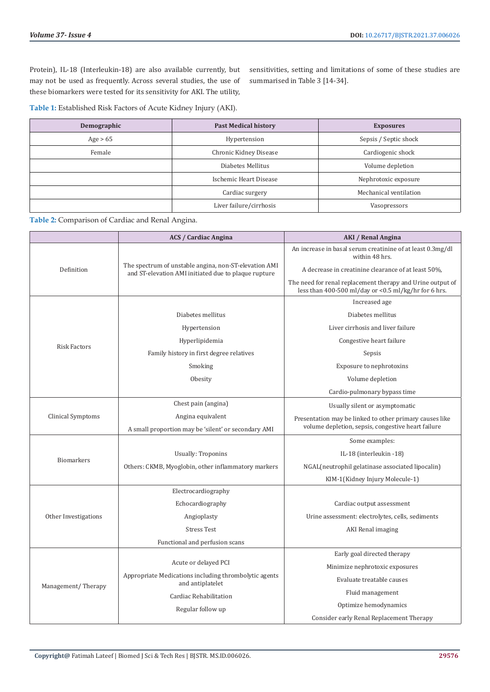Protein), IL-18 (Interleukin-18) are also available currently, but may not be used as frequently. Across several studies, the use of these biomarkers were tested for its sensitivity for AKI. The utility,

sensitivities, setting and limitations of some of these studies are summarised in Table 3 [14-34].

**Table 1:** Established Risk Factors of Acute Kidney Injury (AKI).

| Demographic | <b>Past Medical history</b> | <b>Exposures</b>       |  |  |
|-------------|-----------------------------|------------------------|--|--|
| Age > 65    | Hypertension                | Sepsis / Septic shock  |  |  |
| Female      | Chronic Kidney Disease      | Cardiogenic shock      |  |  |
|             | Diabetes Mellitus           | Volume depletion       |  |  |
|             | Ischemic Heart Disease      | Nephrotoxic exposure   |  |  |
|             | Cardiac surgery             | Mechanical ventilation |  |  |
|             | Liver failure/cirrhosis     | Vasopressors           |  |  |

**Table 2:** Comparison of Cardiac and Renal Angina.

|                      | <b>ACS / Cardiac Angina</b>                                                                                   | <b>AKI / Renal Angina</b>                                                                                          |  |  |
|----------------------|---------------------------------------------------------------------------------------------------------------|--------------------------------------------------------------------------------------------------------------------|--|--|
| Definition           |                                                                                                               | An increase in basal serum creatinine of at least 0.3mg/dl<br>within 48 hrs.                                       |  |  |
|                      | The spectrum of unstable angina, non-ST-elevation AMI<br>and ST-elevation AMI initiated due to plaque rupture | A decrease in creatinine clearance of at least 50%.                                                                |  |  |
|                      |                                                                                                               | The need for renal replacement therapy and Urine output of<br>less than 400-500 ml/day or <0.5 ml/kg/hr for 6 hrs. |  |  |
|                      |                                                                                                               | Increased age                                                                                                      |  |  |
| <b>Risk Factors</b>  | Diabetes mellitus                                                                                             | Diabetes mellitus                                                                                                  |  |  |
|                      | Hypertension                                                                                                  | Liver cirrhosis and liver failure                                                                                  |  |  |
|                      | Hyperlipidemia                                                                                                | Congestive heart failure                                                                                           |  |  |
|                      | Family history in first degree relatives                                                                      | Sepsis                                                                                                             |  |  |
|                      | Smoking                                                                                                       | Exposure to nephrotoxins                                                                                           |  |  |
|                      | Obesity                                                                                                       | Volume depletion                                                                                                   |  |  |
|                      |                                                                                                               | Cardio-pulmonary bypass time                                                                                       |  |  |
| Clinical Symptoms    | Chest pain (angina)                                                                                           | Usually silent or asymptomatic                                                                                     |  |  |
|                      | Angina equivalent<br>A small proportion may be 'silent' or secondary AMI                                      | Presentation may be linked to other primary causes like<br>volume depletion, sepsis, congestive heart failure      |  |  |
| <b>Biomarkers</b>    |                                                                                                               | Some examples:                                                                                                     |  |  |
|                      | <b>Usually: Troponins</b>                                                                                     | IL-18 (interleukin -18)                                                                                            |  |  |
|                      | Others: CKMB, Myoglobin, other inflammatory markers                                                           | NGAL(neutrophil gelatinase associated lipocalin)                                                                   |  |  |
|                      |                                                                                                               | KIM-1(Kidney Injury Molecule-1)                                                                                    |  |  |
|                      | Electrocardiography                                                                                           |                                                                                                                    |  |  |
| Other Investigations | Echocardiography                                                                                              | Cardiac output assessment                                                                                          |  |  |
|                      | Angioplasty                                                                                                   | Urine assessment: electrolytes, cells, sediments                                                                   |  |  |
|                      | <b>Stress Test</b>                                                                                            | AKI Renal imaging                                                                                                  |  |  |
|                      | Functional and perfusion scans                                                                                |                                                                                                                    |  |  |
| Management/Therapy   |                                                                                                               | Early goal directed therapy                                                                                        |  |  |
|                      | Acute or delayed PCI                                                                                          | Minimize nephrotoxic exposures                                                                                     |  |  |
|                      | Appropriate Medications including thrombolytic agents<br>and antiplatelet                                     | Evaluate treatable causes                                                                                          |  |  |
|                      | Cardiac Rehabilitation                                                                                        | Fluid management                                                                                                   |  |  |
|                      | Regular follow up                                                                                             | Optimize hemodynamics                                                                                              |  |  |
|                      |                                                                                                               | Consider early Renal Replacement Therapy                                                                           |  |  |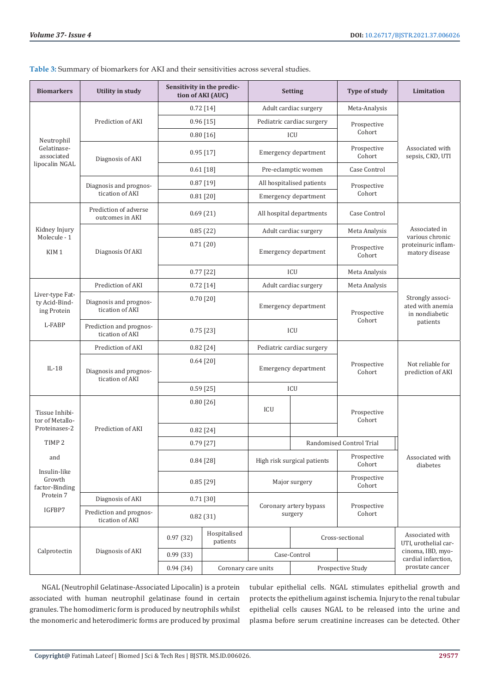| <b>Biomarkers</b>                                               | Utility in study                           | Sensitivity in the predic-<br>tion of AKI (AUC) |                          | <b>Setting</b>                         |                             | Type of study                                               | Limitation                                                                |  |
|-----------------------------------------------------------------|--------------------------------------------|-------------------------------------------------|--------------------------|----------------------------------------|-----------------------------|-------------------------------------------------------------|---------------------------------------------------------------------------|--|
| Neutrophil<br>Gelatinase-<br>associated<br>lipocalin NGAL       |                                            |                                                 | $0.72$ [14]              |                                        | Adult cardiac surgery       | Meta-Analysis                                               |                                                                           |  |
|                                                                 | Prediction of AKI                          |                                                 | $0.96$ [15]              | Pediatric cardiac surgery              |                             | Prospective<br>Cohort                                       |                                                                           |  |
|                                                                 |                                            |                                                 | $0.80$ [16]              | ICU                                    |                             |                                                             |                                                                           |  |
|                                                                 | Diagnosis of AKI                           | 0.95[17]                                        |                          | Emergency department                   |                             | Prospective<br>Cohort                                       | Associated with<br>sepsis, CKD, UTI                                       |  |
|                                                                 |                                            | $0.61$ [18]                                     |                          | Pre-eclamptic women                    |                             | Case Control                                                |                                                                           |  |
|                                                                 | Diagnosis and prognos-<br>tication of AKI  | 0.87[19]                                        |                          | All hospitalised patients              |                             | Prospective                                                 |                                                                           |  |
|                                                                 |                                            |                                                 | $0.81$ [20]              | Emergency department                   |                             | Cohort                                                      |                                                                           |  |
|                                                                 | Prediction of adverse<br>outcomes in AKI   |                                                 | 0.69(21)                 | All hospital departments               |                             | Case Control                                                |                                                                           |  |
| Kidney Injury<br>Molecule - 1                                   |                                            | 0.85(22)                                        |                          | Adult cardiac surgery                  |                             | Meta Analysis                                               | Associated in<br>various chronic<br>proteinuric inflam-<br>matory disease |  |
| KIM <sub>1</sub>                                                | Diagnosis Of AKI                           | 0.71(20)                                        |                          | Emergency department                   |                             | Prospective<br>Cohort                                       |                                                                           |  |
|                                                                 |                                            | $0.77$ [22]                                     |                          | ICU                                    |                             | Meta Analysis                                               |                                                                           |  |
|                                                                 | Prediction of AKI                          |                                                 | $0.72$ [14]              | Adult cardiac surgery<br>Meta Analysis |                             |                                                             |                                                                           |  |
| Liver-type Fat-<br>ty Acid-Bind-<br>ing Protein                 | Diagnosis and prognos-<br>tication of AKI  | $0.70$ [20]                                     |                          | Emergency department                   |                             | Prospective                                                 | Strongly associ-<br>ated with anemia<br>in nondiabetic                    |  |
| L-FABP                                                          | Prediction and prognos-<br>tication of AKI |                                                 | $0.75$ [23]              | ICU                                    |                             | Cohort                                                      | patients                                                                  |  |
| $IL-18$                                                         | Prediction of AKI                          | $0.82$ [24]                                     |                          | Pediatric cardiac surgery              |                             |                                                             |                                                                           |  |
|                                                                 | Diagnosis and prognos-<br>tication of AKI  | 0.64 [20]                                       |                          | Emergency department                   |                             | Prospective<br>Cohort                                       | Not reliable for<br>prediction of AKI                                     |  |
|                                                                 |                                            | $0.59$ [25]                                     |                          | ICU                                    |                             |                                                             |                                                                           |  |
| Tissue Inhibi-<br>tor of Metallo-                               | Prediction of AKI                          | 0.80[26]                                        |                          | ICU                                    |                             | Prospective<br>Cohort                                       |                                                                           |  |
| Proteinases-2                                                   |                                            | $0.82$ [24]                                     |                          |                                        |                             |                                                             |                                                                           |  |
| TIMP <sub>2</sub>                                               |                                            | 0.79[27]                                        |                          |                                        |                             | Randomised Control Trial                                    |                                                                           |  |
| and                                                             |                                            | 0.84 [28]                                       |                          |                                        | High risk surgical patients | Prospective<br>Cohort                                       | Associated with<br>diabetes                                               |  |
| Insulin-like<br>Growth<br>factor-Binding<br>Protein 7<br>IGFBP7 |                                            | $0.85$ [29]                                     |                          | Major surgery                          |                             | Prospective<br>Cohort                                       |                                                                           |  |
|                                                                 | Diagnosis of AKI                           |                                                 | $0.71$ [30]              |                                        |                             |                                                             |                                                                           |  |
|                                                                 | Prediction and prognos-<br>tication of AKI |                                                 | 0.82(31)                 | Coronary artery bypass<br>surgery      |                             | Prospective<br>Cohort                                       |                                                                           |  |
| Calprotectin                                                    | Diagnosis of AKI                           | 0.97(32)                                        | Hospitalised<br>patients |                                        | Cross-sectional             |                                                             | Associated with<br>UTI, urothelial car-                                   |  |
|                                                                 |                                            | 0.99(33)                                        |                          | Case-Control                           |                             | cinoma, IBD, myo-<br>cardial infarction,<br>prostate cancer |                                                                           |  |
|                                                                 |                                            | 0.94(34)                                        | Coronary care units      | Prospective Study                      |                             |                                                             |                                                                           |  |

**Table 3:** Summary of biomarkers for AKI and their sensitivities across several studies.

NGAL (Neutrophil Gelatinase-Associated Lipocalin) is a protein associated with human neutrophil gelatinase found in certain granules. The homodimeric form is produced by neutrophils whilst the monomeric and heterodimeric forms are produced by proximal tubular epithelial cells. NGAL stimulates epithelial growth and protects the epithelium against ischemia. Injury to the renal tubular epithelial cells causes NGAL to be released into the urine and plasma before serum creatinine increases can be detected. Other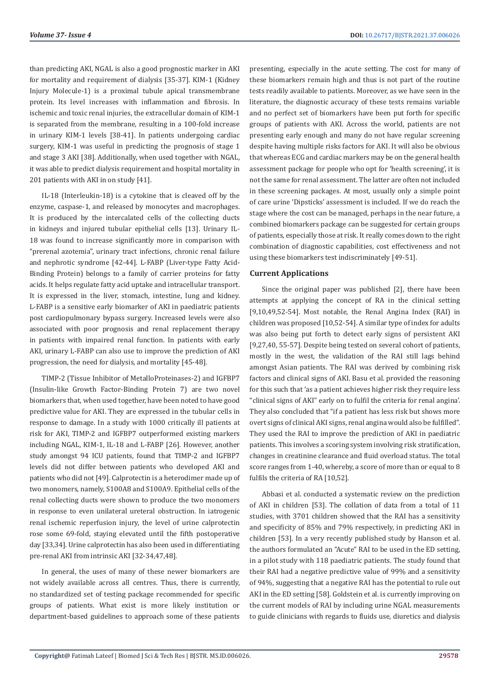than predicting AKI, NGAL is also a good prognostic marker in AKI for mortality and requirement of dialysis [35-37]. KIM-1 (Kidney Injury Molecule-1) is a proximal tubule apical transmembrane protein. Its level increases with inflammation and fibrosis. In ischemic and toxic renal injuries, the extracellular domain of KIM-1 is separated from the membrane, resulting in a 100-fold increase in urinary KIM-1 levels [38-41]. In patients undergoing cardiac surgery, KIM-1 was useful in predicting the prognosis of stage 1 and stage 3 AKI [38]. Additionally, when used together with NGAL, it was able to predict dialysis requirement and hospital mortality in 201 patients with AKI in on study [41].

IL-18 (Interleukin-18) is a cytokine that is cleaved off by the enzyme, caspase-1, and released by monocytes and macrophages. It is produced by the intercalated cells of the collecting ducts in kidneys and injured tubular epithelial cells [13]. Urinary IL-18 was found to increase significantly more in comparison with "prerenal azotemia", urinary tract infections, chronic renal failure and nephrotic syndrome [42-44]. L-FABP (Liver-type Fatty Acid-Binding Protein) belongs to a family of carrier proteins for fatty acids. It helps regulate fatty acid uptake and intracellular transport. It is expressed in the liver, stomach, intestine, lung and kidney. L-FABP is a sensitive early biomarker of AKI in paediatric patients post cardiopulmonary bypass surgery. Increased levels were also associated with poor prognosis and renal replacement therapy in patients with impaired renal function. In patients with early AKI, urinary L-FABP can also use to improve the prediction of AKI progression, the need for dialysis, and mortality [45-48].

TIMP-2 (Tissue Inhibitor of MetalloProteinases-2) and IGFBP7 (Insulin-like Growth Factor-Binding Protein 7) are two novel biomarkers that, when used together, have been noted to have good predictive value for AKI. They are expressed in the tubular cells in response to damage. In a study with 1000 critically ill patients at risk for AKI, TIMP-2 and IGFBP7 outperformed existing markers including NGAL, KIM-1, IL-18 and L-FABP [26]. However, another study amongst 94 ICU patients, found that TIMP-2 and IGFBP7 levels did not differ between patients who developed AKI and patients who did not [49]. Calprotectin is a heterodimer made up of two monomers, namely, S100A8 and S100A9. Epithelial cells of the renal collecting ducts were shown to produce the two monomers in response to even unilateral ureteral obstruction. In iatrogenic renal ischemic reperfusion injury, the level of urine calprotectin rose some 69-fold, staying elevated until the fifth postoperative day [33,34]. Urine calprotectin has also been used in differentiating pre-renal AKI from intrinsic AKI [32-34,47,48].

In general, the uses of many of these newer biomarkers are not widely available across all centres. Thus, there is currently, no standardized set of testing package recommended for specific groups of patients. What exist is more likely institution or department-based guidelines to approach some of these patients

presenting, especially in the acute setting. The cost for many of these biomarkers remain high and thus is not part of the routine tests readily available to patients. Moreover, as we have seen in the literature, the diagnostic accuracy of these tests remains variable and no perfect set of biomarkers have been put forth for specific groups of patients with AKI. Across the world, patients are not presenting early enough and many do not have regular screening despite having multiple risks factors for AKI. It will also be obvious that whereas ECG and cardiac markers may be on the general health assessment package for people who opt for 'health screening', it is not the same for renal assessment. The latter are often not included in these screening packages. At most, usually only a simple point of care urine 'Dipsticks' assessment is included. If we do reach the stage where the cost can be managed, perhaps in the near future, a combined biomarkers package can be suggested for certain groups of patients, especially those at risk. It really comes down to the right combination of diagnostic capabilities, cost effectiveness and not using these biomarkers test indiscriminately [49-51].

### **Current Applications**

Since the original paper was published [2], there have been attempts at applying the concept of RA in the clinical setting [9,10,49,52-54]. Most notable, the Renal Angina Index (RAI) in children was proposed [10,52-54]. A similar type of index for adults was also being put forth to detect early signs of persistent AKI [9,27,40, 55-57]. Despite being tested on several cohort of patients, mostly in the west, the validation of the RAI still lags behind amongst Asian patients. The RAI was derived by combining risk factors and clinical signs of AKI. Basu et al. provided the reasoning for this such that 'as a patient achieves higher risk they require less "clinical signs of AKI" early on to fulfil the criteria for renal angina'. They also concluded that "if a patient has less risk but shows more overt signs of clinical AKI signs, renal angina would also be fulfilled". They used the RAI to improve the prediction of AKI in paediatric patients. This involves a scoring system involving risk stratification, changes in creatinine clearance and fluid overload status. The total score ranges from 1-40, whereby, a score of more than or equal to 8 fulfils the criteria of RA [10,52].

Abbasi et al. conducted a systematic review on the prediction of AKI in children [53]. The collation of data from a total of 11 studies, with 3701 children showed that the RAI has a sensitivity and specificity of 85% and 79% respectively, in predicting AKI in children [53]. In a very recently published study by Hanson et al. the authors formulated an "Acute" RAI to be used in the ED setting, in a pilot study with 118 paediatric patients. The study found that their RAI had a negative predictive value of 99% and a sensitivity of 94%, suggesting that a negative RAI has the potential to rule out AKI in the ED setting [58]. Goldstein et al. is currently improving on the current models of RAI by including urine NGAL measurements to guide clinicians with regards to fluids use, diuretics and dialysis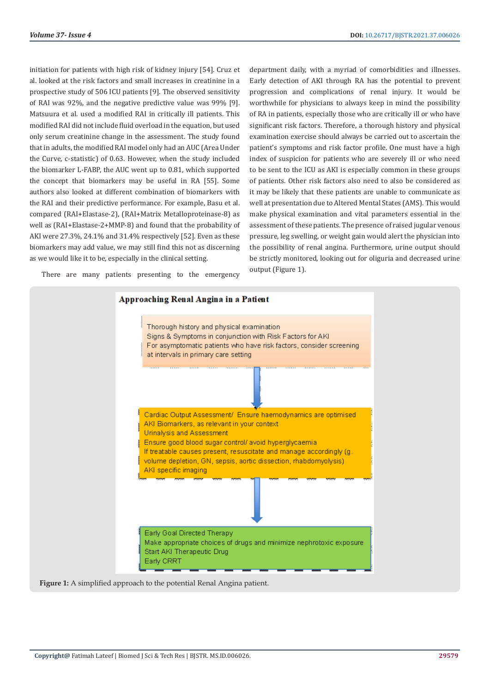initiation for patients with high risk of kidney injury [54]. Cruz et al. looked at the risk factors and small increases in creatinine in a prospective study of 506 ICU patients [9]. The observed sensitivity of RAI was 92%, and the negative predictive value was 99% [9]. Matsuura et al. used a modified RAI in critically ill patients. This modified RAI did not include fluid overload in the equation, but used only serum creatinine change in the assessment. The study found that in adults, the modified RAI model only had an AUC (Area Under the Curve, c-statistic) of 0.63. However, when the study included the biomarker L-FABP, the AUC went up to 0.81, which supported the concept that biomarkers may be useful in RA [55]. Some authors also looked at different combination of biomarkers with the RAI and their predictive performance. For example, Basu et al. compared (RAI+Elastase-2), (RAI+Matrix Metalloproteinase-8) as well as (RAI+Elastase-2+MMP-8) and found that the probability of AKI were 27.3%, 24.1% and 31.4% respectively [52]. Even as these biomarkers may add value, we may still find this not as discerning as we would like it to be, especially in the clinical setting.

There are many patients presenting to the emergency

department daily, with a myriad of comorbidities and illnesses. Early detection of AKI through RA has the potential to prevent progression and complications of renal injury. It would be worthwhile for physicians to always keep in mind the possibility of RA in patients, especially those who are critically ill or who have significant risk factors. Therefore, a thorough history and physical examination exercise should always be carried out to ascertain the patient's symptoms and risk factor profile. One must have a high index of suspicion for patients who are severely ill or who need to be sent to the ICU as AKI is especially common in these groups of patients. Other risk factors also need to also be considered as it may be likely that these patients are unable to communicate as well at presentation due to Altered Mental States (AMS). This would make physical examination and vital parameters essential in the assessment of these patients. The presence of raised jugular venous pressure, leg swelling, or weight gain would alert the physician into the possibility of renal angina. Furthermore, urine output should be strictly monitored, looking out for oliguria and decreased urine output (Figure 1).



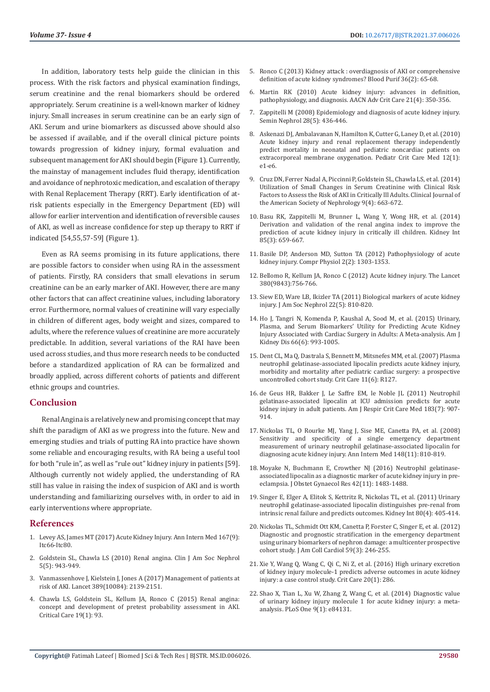In addition, laboratory tests help guide the clinician in this process. With the risk factors and physical examination findings, serum creatinine and the renal biomarkers should be ordered appropriately. Serum creatinine is a well-known marker of kidney injury. Small increases in serum creatinine can be an early sign of AKI. Serum and urine biomarkers as discussed above should also be assessed if available, and if the overall clinical picture points towards progression of kidney injury, formal evaluation and subsequent management for AKI should begin (Figure 1). Currently, the mainstay of management includes fluid therapy, identification and avoidance of nephrotoxic medication, and escalation of therapy with Renal Replacement Therapy (RRT). Early identification of atrisk patients especially in the Emergency Department (ED) will allow for earlier intervention and identification of reversible causes of AKI, as well as increase confidence for step up therapy to RRT if indicated [54,55,57-59] (Figure 1).

Even as RA seems promising in its future applications, there are possible factors to consider when using RA in the assessment of patients. Firstly, RA considers that small elevations in serum creatinine can be an early marker of AKI. However, there are many other factors that can affect creatinine values, including laboratory error. Furthermore, normal values of creatinine will vary especially in children of different ages, body weight and sizes, compared to adults, where the reference values of creatinine are more accurately predictable. In addition, several variations of the RAI have been used across studies, and thus more research needs to be conducted before a standardized application of RA can be formalized and broadly applied, across different cohorts of patients and different ethnic groups and countries.

### **Conclusion**

Renal Angina is a relatively new and promising concept that may shift the paradigm of AKI as we progress into the future. New and emerging studies and trials of putting RA into practice have shown some reliable and encouraging results, with RA being a useful tool for both "rule in", as well as "rule out" kidney injury in patients [59]. Although currently not widely applied, the understanding of RA still has value in raising the index of suspicion of AKI and is worth understanding and familiarizing ourselves with, in order to aid in early interventions where appropriate.

### **References**

- 1. [Levey AS, James MT \(2017\) Acute Kidney Injury. Ann Intern Med 167\(9\):](https://pubmed.ncbi.nlm.nih.gov/29114754/)  [Itc66-Itc80.](https://pubmed.ncbi.nlm.nih.gov/29114754/)
- 2. [Goldstein SL, Chawla LS \(2010\) Renal angina. Clin J Am Soc Nephrol](https://pubmed.ncbi.nlm.nih.gov/20299370/)  [5\(5\): 943-949.](https://pubmed.ncbi.nlm.nih.gov/20299370/)
- 3. [Vanmassenhove J, Kielstein J, Jones A \(2017\) Management of patients at](https://pubmed.ncbi.nlm.nih.gov/28561005/)  [risk of AKI. Lancet 389\(10084\): 2139-2151.](https://pubmed.ncbi.nlm.nih.gov/28561005/)
- 4. [Chawla LS, Goldstein SL, Kellum JA, Ronco C \(2015\) Renal angina:](https://pubmed.ncbi.nlm.nih.gov/25887311/)  [concept and development of pretest probability assessment in AKI.](https://pubmed.ncbi.nlm.nih.gov/25887311/)  [Critical Care 19\(1\): 93.](https://pubmed.ncbi.nlm.nih.gov/25887311/)
- 5. [Ronco C \(2013\) Kidney attack : overdiagnosis of AKI or comprehensive](https://pubmed.ncbi.nlm.nih.gov/23969548/) [definition of acute kidney syndromes? Blood Purif 36\(2\): 65-68.](https://pubmed.ncbi.nlm.nih.gov/23969548/)
- 6. [Martin RK \(2010\) Acute kidney injury: advances in definition,](https://www.nursingcenter.com/journalarticle?Article_ID=1081416&Journal_ID=230572&Issue_ID=1081342) [pathophysiology, and diagnosis. AACN Adv Crit Care 21\(4\): 350-356.](https://www.nursingcenter.com/journalarticle?Article_ID=1081416&Journal_ID=230572&Issue_ID=1081342)
- 7. [Zappitelli M \(2008\) Epidemiology and diagnosis of acute kidney injury.](https://pubmed.ncbi.nlm.nih.gov/18790363/) [Semin Nephrol 28\(5\): 436-446.](https://pubmed.ncbi.nlm.nih.gov/18790363/)
- 8. [Askenazi DJ, Ambalavanan N, Hamilton K, Cutter G, Laney D, et al. \(2010\)](https://pubmed.ncbi.nlm.nih.gov/20351617/) [Acute kidney injury and renal replacement therapy independently](https://pubmed.ncbi.nlm.nih.gov/20351617/) [predict mortality in neonatal and pediatric noncardiac patients on](https://pubmed.ncbi.nlm.nih.gov/20351617/) [extracorporeal membrane oxygenation. Pediatr Crit Care Med 12\(1\):](https://pubmed.ncbi.nlm.nih.gov/20351617/) [e1-e6.](https://pubmed.ncbi.nlm.nih.gov/20351617/)
- 9. [Cruz DN, Ferrer Nadal A, Piccinni P, Goldstein SL, Chawla LS, et al. \(2014\)](https://pubmed.ncbi.nlm.nih.gov/24677553/) [Utilization of Small Changes in Serum Creatinine with Clinical Risk](https://pubmed.ncbi.nlm.nih.gov/24677553/) [Factors to Assess the Risk of AKI in Critically lll Adults. Clinical Journal of](https://pubmed.ncbi.nlm.nih.gov/24677553/) [the American Society of Nephrology 9\(4\): 663-672.](https://pubmed.ncbi.nlm.nih.gov/24677553/)
- 10. [Basu RK, Zappitelli M, Brunner L, Wang Y, Wong HR, et al. \(2014\)](https://pubmed.ncbi.nlm.nih.gov/24048379/) [Derivation and validation of the renal angina index to improve the](https://pubmed.ncbi.nlm.nih.gov/24048379/) [prediction of acute kidney injury in critically ill children. Kidney Int](https://pubmed.ncbi.nlm.nih.gov/24048379/) [85\(3\): 659-667.](https://pubmed.ncbi.nlm.nih.gov/24048379/)
- 11. [Basile DP, Anderson MD, Sutton TA \(2012\) Pathophysiology of acute](https://www.ncbi.nlm.nih.gov/pmc/articles/PMC3919808/) [kidney injury. Compr Physiol 2\(2\): 1303-1353.](https://www.ncbi.nlm.nih.gov/pmc/articles/PMC3919808/)
- 12. [Bellomo R, Kellum JA, Ronco C \(2012\) Acute kidney injury. The Lancet](https://pubmed.ncbi.nlm.nih.gov/22617274/) [380\(9843\):756-766.](https://pubmed.ncbi.nlm.nih.gov/22617274/)
- 13. [Siew ED, Ware LB, Ikizler TA \(2011\) Biological markers of acute kidney](https://pubmed.ncbi.nlm.nih.gov/21493774/) [injury. J Am Soc Nephrol 22\(5\): 810-820.](https://pubmed.ncbi.nlm.nih.gov/21493774/)
- 14. [Ho J, Tangri N, Komenda P, Kaushal A, Sood M, et al. \(2015\) Urinary,](https://pubmed.ncbi.nlm.nih.gov/26253993/) [Plasma, and Serum Biomarkers' Utility for Predicting Acute Kidney](https://pubmed.ncbi.nlm.nih.gov/26253993/) [Injury Associated with Cardiac Surgery in Adults: A Meta-analysis. Am J](https://pubmed.ncbi.nlm.nih.gov/26253993/) [Kidney Dis 66\(6\): 993-1005.](https://pubmed.ncbi.nlm.nih.gov/26253993/)
- 15. [Dent CL, Ma Q, Dastrala S, Bennett M, Mitsnefes MM, et al. \(2007\) Plasma](https://pubmed.ncbi.nlm.nih.gov/18070344/) [neutrophil gelatinase-associated lipocalin predicts acute kidney injury,](https://pubmed.ncbi.nlm.nih.gov/18070344/) [morbidity and mortality after pediatric cardiac surgery: a prospective](https://pubmed.ncbi.nlm.nih.gov/18070344/) [uncontrolled cohort study. Crit Care 11\(6\): R127.](https://pubmed.ncbi.nlm.nih.gov/18070344/)
- 16. [de Geus HR, Bakker J, Le Saffre EM, le Noble JL \(2011\) Neutrophil](https://pubmed.ncbi.nlm.nih.gov/20935115/) [gelatinase-associated lipocalin at ICU admission predicts for acute](https://pubmed.ncbi.nlm.nih.gov/20935115/) [kidney injury in adult patients. Am J Respir Crit Care Med 183\(7\): 907-](https://pubmed.ncbi.nlm.nih.gov/20935115/) [914.](https://pubmed.ncbi.nlm.nih.gov/20935115/)
- 17. [Nickolas TL, O Rourke MJ, Yang J, Sise ME, Canetta PA, et al. \(2008\)](https://www.ncbi.nlm.nih.gov/pmc/articles/PMC2909852/) [Sensitivity and specificity of a single emergency department](https://www.ncbi.nlm.nih.gov/pmc/articles/PMC2909852/) [measurement of urinary neutrophil gelatinase-associated lipocalin for](https://www.ncbi.nlm.nih.gov/pmc/articles/PMC2909852/) [diagnosing acute kidney injury. Ann Intern Med 148\(11\): 810-819.](https://www.ncbi.nlm.nih.gov/pmc/articles/PMC2909852/)
- 18. [Moyake N, Buchmann E, Crowther NJ \(2016\) Neutrophil gelatinase](https://pubmed.ncbi.nlm.nih.gov/27559014/)[associated lipocalin as a diagnostic marker of acute kidney injury in pre](https://pubmed.ncbi.nlm.nih.gov/27559014/)[eclampsia. J Obstet Gynaecol Res 42\(11\): 1483-1488.](https://pubmed.ncbi.nlm.nih.gov/27559014/)
- 19. [Singer E, Elger A, Elitok S, Kettritz R, Nickolas TL, et al. \(2011\) Urinary](https://www.ncbi.nlm.nih.gov/pmc/articles/PMC3870593/) [neutrophil gelatinase-associated lipocalin distinguishes pre-renal from](https://www.ncbi.nlm.nih.gov/pmc/articles/PMC3870593/) [intrinsic renal failure and predicts outcomes. Kidney Int 80\(4\): 405-414.](https://www.ncbi.nlm.nih.gov/pmc/articles/PMC3870593/)
- 20. [Nickolas TL, Schmidt Ott KM, Canetta P, Forster C, Singer E, et al. \(2012\)](https://pubmed.ncbi.nlm.nih.gov/22240130/) [Diagnostic and prognostic stratification in the emergency department](https://pubmed.ncbi.nlm.nih.gov/22240130/) [using urinary biomarkers of nephron damage: a multicenter prospective](https://pubmed.ncbi.nlm.nih.gov/22240130/) [cohort study. J Am Coll Cardiol 59\(3\): 246-255.](https://pubmed.ncbi.nlm.nih.gov/22240130/)
- 21. [Xie Y, Wang Q, Wang C, Qi C, Ni Z, et al. \(2016\) High urinary excretion](https://pubmed.ncbi.nlm.nih.gov/27613644/) [of kidney injury molecule-1 predicts adverse outcomes in acute kidney](https://pubmed.ncbi.nlm.nih.gov/27613644/) [injury: a case control study. Crit Care 20\(1\): 286.](https://pubmed.ncbi.nlm.nih.gov/27613644/)
- 22. [Shao X, Tian L, Xu W, Zhang Z, Wang C, et al. \(2014\) Diagnostic value](https://pubmed.ncbi.nlm.nih.gov/24404151/) [of urinary kidney injury molecule 1 for acute kidney injury: a meta](https://pubmed.ncbi.nlm.nih.gov/24404151/)[analysis. PLoS One 9\(1\): e84131.](https://pubmed.ncbi.nlm.nih.gov/24404151/)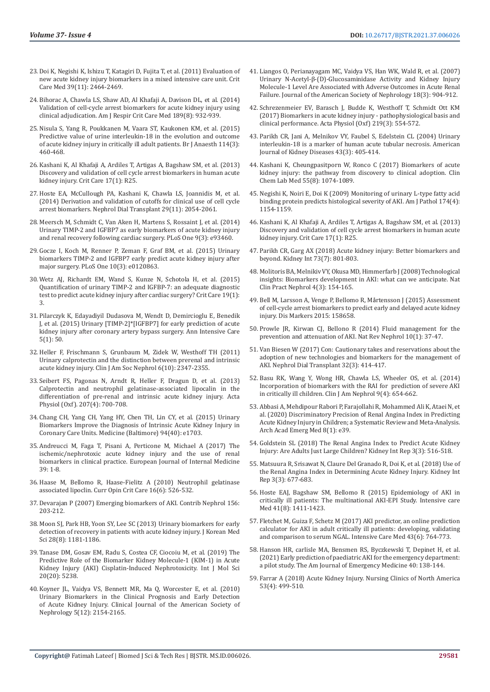- 23. [Doi K, Negishi K, Ishizu T, Katagiri D, Fujita T, et al. \(2011\) Evaluation of](https://pubmed.ncbi.nlm.nih.gov/21705884/)  [new acute kidney injury biomarkers in a mixed intensive care unit. Crit](https://pubmed.ncbi.nlm.nih.gov/21705884/)  [Care Med 39\(11\): 2464-2469.](https://pubmed.ncbi.nlm.nih.gov/21705884/)
- 24. [Bihorac A, Chawla LS, Shaw AD, Al Khafaji A, Davison DL, et al. \(2014\)](https://pubmed.ncbi.nlm.nih.gov/24559465/)  [Validation of cell-cycle arrest biomarkers for acute kidney injury using](https://pubmed.ncbi.nlm.nih.gov/24559465/)  [clinical adjudication. Am J Respir Crit Care Med 189\(8\): 932-939.](https://pubmed.ncbi.nlm.nih.gov/24559465/)
- 25. [Nisula S, Yang R, Poukkanen M, Vaara ST, Kaukonen KM, et al. \(2015\)](https://bjanaesthesia.org/article/S0007-0912(17)31812-3/fulltext)  [Predictive value of urine interleukin-18 in the evolution and outcome](https://bjanaesthesia.org/article/S0007-0912(17)31812-3/fulltext)  [of acute kidney injury in critically ill adult patients. Br J Anaesth 114\(3\):](https://bjanaesthesia.org/article/S0007-0912(17)31812-3/fulltext)  [460-468.](https://bjanaesthesia.org/article/S0007-0912(17)31812-3/fulltext)
- 26. [Kashani K, Al Khafaji A, Ardiles T, Artigas A, Bagshaw SM, et al. \(2013\)](https://pubmed.ncbi.nlm.nih.gov/23388612/)  [Discovery and validation of cell cycle arrest biomarkers in human acute](https://pubmed.ncbi.nlm.nih.gov/23388612/)  [kidney injury. Crit Care 17\(1\): R25.](https://pubmed.ncbi.nlm.nih.gov/23388612/)
- 27. [Hoste EA, McCullough PA, Kashani K, Chawla LS, Joannidis M, et al.](https://academic.oup.com/ndt/article/29/11/2054/1809141)  [\(2014\) Derivation and validation of cutoffs for clinical use of cell cycle](https://academic.oup.com/ndt/article/29/11/2054/1809141)  [arrest biomarkers. Nephrol Dial Transplant 29\(11\): 2054-2061.](https://academic.oup.com/ndt/article/29/11/2054/1809141)
- 28. [Meersch M, Schmidt C, Van Aken H, Martens S, Rossaint J, et al. \(2014\)](https://pubmed.ncbi.nlm.nih.gov/24675717/)  [Urinary TIMP-2 and IGFBP7 as early biomarkers of acute kidney injury](https://pubmed.ncbi.nlm.nih.gov/24675717/)  [and renal recovery following cardiac surgery. PLoS One 9\(3\): e93460.](https://pubmed.ncbi.nlm.nih.gov/24675717/)
- 29. [Gocze I, Koch M, Renner P, Zeman F, Graf BM, et al. \(2015\) Urinary](https://www.ncbi.nlm.nih.gov/pmc/articles/PMC4370650/)  [biomarkers TIMP-2 and IGFBP7 early predict acute kidney injury after](https://www.ncbi.nlm.nih.gov/pmc/articles/PMC4370650/)  [major surgery. PLoS One 10\(3\): e0120863.](https://www.ncbi.nlm.nih.gov/pmc/articles/PMC4370650/)
- 30. [Wetz AJ, Richardt EM, Wand S, Kunze N, Schotola H, et al. \(2015\)](https://pubmed.ncbi.nlm.nih.gov/25560277/)  [Quantification of urinary TIMP-2 and IGFBP-7: an adequate diagnostic](https://pubmed.ncbi.nlm.nih.gov/25560277/)  [test to predict acute kidney injury after cardiac surgery? Crit Care 19\(1\):](https://pubmed.ncbi.nlm.nih.gov/25560277/)  [3.](https://pubmed.ncbi.nlm.nih.gov/25560277/)
- 31. [Pilarczyk K, Edayadiyil Dudasova M, Wendt D, Demircioglu E, Benedik](https://www.ncbi.nlm.nih.gov/pmc/articles/PMC4679715/)  [J, et al. \(2015\) Urinary \[TIMP-2\]\\*\[IGFBP7\] for early prediction of acute](https://www.ncbi.nlm.nih.gov/pmc/articles/PMC4679715/)  [kidney injury after coronary artery bypass surgery. Ann Intensive Care](https://www.ncbi.nlm.nih.gov/pmc/articles/PMC4679715/)  [5\(1\): 50.](https://www.ncbi.nlm.nih.gov/pmc/articles/PMC4679715/)
- 32. [Heller F, Frischmann S, Grunbaum M, Zidek W, Westhoff TH \(2011\)](https://www.ncbi.nlm.nih.gov/pmc/articles/PMC3359561/)  [Urinary calprotectin and the distinction between prerenal and intrinsic](https://www.ncbi.nlm.nih.gov/pmc/articles/PMC3359561/)  [acute kidney injury. Clin J Am Soc Nephrol 6\(10\): 2347-2355.](https://www.ncbi.nlm.nih.gov/pmc/articles/PMC3359561/)
- 33. [Seibert FS, Pagonas N, Arndt R, Heller F, Dragun D, et al. \(2013\)](https://pubmed.ncbi.nlm.nih.gov/23336369/)  [Calprotectin and neutrophil gelatinase-associated lipocalin in the](https://pubmed.ncbi.nlm.nih.gov/23336369/)  [differentiation of pre-renal and intrinsic acute kidney injury. Acta](https://pubmed.ncbi.nlm.nih.gov/23336369/)  [Physiol \(Oxf\). 207\(4\): 700-708.](https://pubmed.ncbi.nlm.nih.gov/23336369/)
- 34. [Chang CH, Yang CH, Yang HY, Chen TH, Lin CY, et al. \(2015\) Urinary](https://www.researchgate.net/publication/282668750_Urinary_Biomarkers_Improve_the_Diagnosis_of_Intrinsic_Acute_Kidney_Injury_in_Coronary_Care_Units)  [Biomarkers Improve the Diagnosis of Intrinsic Acute Kidney Injury in](https://www.researchgate.net/publication/282668750_Urinary_Biomarkers_Improve_the_Diagnosis_of_Intrinsic_Acute_Kidney_Injury_in_Coronary_Care_Units)  [Coronary Care Units. Medicine \(Baltimore\) 94\(40\): e1703.](https://www.researchgate.net/publication/282668750_Urinary_Biomarkers_Improve_the_Diagnosis_of_Intrinsic_Acute_Kidney_Injury_in_Coronary_Care_Units)
- 35. [Andreucci M, Faga T, Pisani A, Perticone M, Michael A \(2017\) The](https://pubmed.ncbi.nlm.nih.gov/28011057/)  [ischemic/nephrotoxic acute kidney injury and the use of renal](https://pubmed.ncbi.nlm.nih.gov/28011057/)  [biomarkers in clinical practice. European Journal of Internal Medicine](https://pubmed.ncbi.nlm.nih.gov/28011057/)  [39: 1-8.](https://pubmed.ncbi.nlm.nih.gov/28011057/)
- 36. [Haase M, Bellomo R, Haase-Fielitz A \(2010\) Neutrophil gelatinase](https://pubmed.ncbi.nlm.nih.gov/20871395/)  [associated lipoclin. Curr Opin Crit Care 16\(6\): 526-532.](https://pubmed.ncbi.nlm.nih.gov/20871395/)
- 37. [Devarajan P \(2007\) Emerging biomarkers of AKI. Contrib Nephrol 156:](https://pubmed.ncbi.nlm.nih.gov/17464129/)  [203-212.](https://pubmed.ncbi.nlm.nih.gov/17464129/)
- 38. [Moon SJ, Park HB, Yoon SY, Lee SC \(2013\) Urinary biomarkers for early](https://pubmed.ncbi.nlm.nih.gov/23960445/)  [detection of recovery in patients with acute kidney injury. J Korean Med](https://pubmed.ncbi.nlm.nih.gov/23960445/)  [Sci 28\(8\): 1181-1186.](https://pubmed.ncbi.nlm.nih.gov/23960445/)
- 39. [Tanase DM, Gosav EM, Radu S, Costea CF, Ciocoiu M, et al. \(2019\) The](https://pubmed.ncbi.nlm.nih.gov/31652595/)  [Predictive Role of the Biomarker Kidney Molecule-1 \(KIM-1\) in Acute](https://pubmed.ncbi.nlm.nih.gov/31652595/)  [Kidney Injury \(AKI\) Cisplatin-Induced Nephrotoxicity. Int J Mol Sci](https://pubmed.ncbi.nlm.nih.gov/31652595/)  [20\(20\): 5238.](https://pubmed.ncbi.nlm.nih.gov/31652595/)
- 40. [Koyner JL, Vaidya VS, Bennett MR, Ma Q, Worcester E, et al. \(2010\)](https://pubmed.ncbi.nlm.nih.gov/20798258/)  [Urinary Biomarkers in the Clinical Prognosis and Early Detection](https://pubmed.ncbi.nlm.nih.gov/20798258/)  [of Acute Kidney Injury. Clinical Journal of the American Society of](https://pubmed.ncbi.nlm.nih.gov/20798258/)  [Nephrology 5\(12\): 2154-2165.](https://pubmed.ncbi.nlm.nih.gov/20798258/)
- 41. [Liangos O, Perianayagam MC, Vaidya VS, Han WK, Wald R, et al. \(2007\)](https://pubmed.ncbi.nlm.nih.gov/17267747/) [Urinary N-Acetyl-β-\(D\)-Glucosaminidase Activity and Kidney Injury](https://pubmed.ncbi.nlm.nih.gov/17267747/) [Molecule-1 Level Are Associated with Adverse Outcomes in Acute Renal](https://pubmed.ncbi.nlm.nih.gov/17267747/) [Failure. Journal of the American Society of Nephrology 18\(3\): 904-912.](https://pubmed.ncbi.nlm.nih.gov/17267747/)
- 42. [Schrezenmeier EV, Barasch J, Budde K, Westhoff T, Schmidt Ott KM](https://pubmed.ncbi.nlm.nih.gov/27474473/) [\(2017\) Biomarkers in acute kidney injury - pathophysiological basis and](https://pubmed.ncbi.nlm.nih.gov/27474473/) [clinical performance. Acta Physiol \(Oxf\) 219\(3\): 554-572.](https://pubmed.ncbi.nlm.nih.gov/27474473/)
- 43. [Parikh CR, Jani A, Melnikov VY, Faubel S, Edelstein CL \(2004\) Urinary](https://pubmed.ncbi.nlm.nih.gov/14981598/) [interleukin-18 is a marker of human acute tubular necrosis. American](https://pubmed.ncbi.nlm.nih.gov/14981598/) [Journal of Kidney Diseases 43\(3\): 405-414.](https://pubmed.ncbi.nlm.nih.gov/14981598/)
- 44. [Kashani K, Cheungpasitporn W, Ronco C \(2017\) Biomarkers of acute](https://pubmed.ncbi.nlm.nih.gov/28076311/) [kidney injury: the pathway from discovery to clinical adoption. Clin](https://pubmed.ncbi.nlm.nih.gov/28076311/) [Chem Lab Med 55\(8\): 1074-1089.](https://pubmed.ncbi.nlm.nih.gov/28076311/)
- 45. [Negishi K, Noiri E, Doi K \(2009\) Monitoring of urinary L-type fatty acid](https://pubmed.ncbi.nlm.nih.gov/19264903/) [binding protein predicts histological severity of AKI. Am J Pathol 174\(4\):](https://pubmed.ncbi.nlm.nih.gov/19264903/) [1154-1159.](https://pubmed.ncbi.nlm.nih.gov/19264903/)
- 46. [Kashani K, Al Khafaji A, Ardiles T, Artigas A, Bagshaw SM, et al. \(2013\)](https://pubmed.ncbi.nlm.nih.gov/23388612/) [Discovery and validation of cell cycle arrest biomarkers in human acute](https://pubmed.ncbi.nlm.nih.gov/23388612/) [kidney injury. Crit Care 17\(1\): R25.](https://pubmed.ncbi.nlm.nih.gov/23388612/)
- 47. [Parikh CR, Garg AX \(2018\) Acute kidney injury: Better biomarkers and](https://www.sciencedirect.com/science/article/pii/S0085253815530986) [beyond. Kidney Int 73\(7\): 801-803.](https://www.sciencedirect.com/science/article/pii/S0085253815530986)
- 48. [Molitoris BA, Melnikiv VY, Okusa MD, Himmerfarb J \(2008\) Technological](https://pubmed.ncbi.nlm.nih.gov/18227821/) [insights: Biomarkers development in AKI: what can we anticipate. Nat](https://pubmed.ncbi.nlm.nih.gov/18227821/) [Clin Pract Nephrol 4\(3\): 154-165.](https://pubmed.ncbi.nlm.nih.gov/18227821/)
- 49. [Bell M, Larsson A, Venge P, Bellomo R, M](https://pubmed.ncbi.nlm.nih.gov/25866432/)årtensson J (2015) Assessment [of cell-cycle arrest biomarkers to predict early and delayed acute kidney](https://pubmed.ncbi.nlm.nih.gov/25866432/) [injury. Dis Markers 2015: 158658.](https://pubmed.ncbi.nlm.nih.gov/25866432/)
- 50. [Prowle JR, Kirwan CJ, Bellono R \(2014\) Fluid management for the](https://pubmed.ncbi.nlm.nih.gov/24217464/) [prevention and attenuation of AKI. Nat Rev Nephrol 10\(1\): 37-47.](https://pubmed.ncbi.nlm.nih.gov/24217464/)
- 51. [Van Biesen W \(2017\) Con: Cautionary takes and reservations about the](https://pubmed.ncbi.nlm.nih.gov/28375504/) [adoption of new technologies and biomarkers for the management of](https://pubmed.ncbi.nlm.nih.gov/28375504/) [AKI. Nephrol Dial Transplant 32\(3\): 414-417.](https://pubmed.ncbi.nlm.nih.gov/28375504/)
- 52. [Basu RK, Wang Y, Wong HR, Chawla LS, Wheeler OS, et al. \(2014\)](https://www.ncbi.nlm.nih.gov/pmc/articles/PMC3974366/) [Incorporation of biomarkers with the RAI for prediction of severe AKI](https://www.ncbi.nlm.nih.gov/pmc/articles/PMC3974366/) [in critically ill children. Clin J Am Nephrol 9\(4\): 654-662.](https://www.ncbi.nlm.nih.gov/pmc/articles/PMC3974366/)
- 53. [Abbasi A, Mehdipour Rabori P, Farajollahi R, Mohammed Ali K, Ataei N, et](https://pubmed.ncbi.nlm.nih.gov/32259128/) [al. \(2020\) Discriminatory Precision of Renal Angina Index in Predicting](https://pubmed.ncbi.nlm.nih.gov/32259128/) [Acute Kidney Injury in Children; a Systematic Review and Meta-Analysis.](https://pubmed.ncbi.nlm.nih.gov/32259128/) [Arch Acad Emerg Med 8\(1\): e39.](https://pubmed.ncbi.nlm.nih.gov/32259128/)
- 54. [Goldstein SL \(2018\) The Renal Angina Index to Predict Acute Kidney](https://www.ncbi.nlm.nih.gov/pmc/articles/PMC5976853/) [Injury: Are Adults Just Large Children? Kidney Int Rep 3\(3\): 516-518.](https://www.ncbi.nlm.nih.gov/pmc/articles/PMC5976853/)
- 55. [Matsuura R, Srisawat N, Claure Del Granado R, Doi K, et al. \(2018\) Use of](https://www.ncbi.nlm.nih.gov/pmc/articles/PMC5976819/) [the Renal Angina Index in Determining Acute Kidney Injury. Kidney Int](https://www.ncbi.nlm.nih.gov/pmc/articles/PMC5976819/) [Rep 3\(3\): 677-683.](https://www.ncbi.nlm.nih.gov/pmc/articles/PMC5976819/)
- 56. [Hoste EAJ, Bagshaw SM, Bellomo R \(2015\) Epidemiology of AKI in](https://pubmed.ncbi.nlm.nih.gov/26162677/) [critically ill patients: The multinational AKI-EPI Study. Intensive care](https://pubmed.ncbi.nlm.nih.gov/26162677/) [Med 41\(8\): 1411-1423.](https://pubmed.ncbi.nlm.nih.gov/26162677/)
- 57. [Fletchet M, Guiza F, Schetz M \(2017\) AKI predictor, an online prediction](https://pubmed.ncbi.nlm.nih.gov/28130688/) [calculator for AKI in adult critically ill patients: developing, validating](https://pubmed.ncbi.nlm.nih.gov/28130688/) [and comparison to serum NGAL. Intensive Care Med 43\(6\): 764-773.](https://pubmed.ncbi.nlm.nih.gov/28130688/)
- 58. [Hanson HR, carlisle MA, Bensmen RS, Byczkewski T, Depinet H, et al.](https://pubmed.ncbi.nlm.nih.gov/32024590/) [\(2021\) Early prediction of paediatric AKI for the emergency department:](https://pubmed.ncbi.nlm.nih.gov/32024590/) [a pilot study. The Am Journal of Emergency Medicine 40: 138-144.](https://pubmed.ncbi.nlm.nih.gov/32024590/)
- 59. [Farrar A \(2018\) Acute Kidney Injury. Nursing Clinics of North America](https://pubmed.ncbi.nlm.nih.gov/30388976/) [53\(4\): 499-510.](https://pubmed.ncbi.nlm.nih.gov/30388976/)